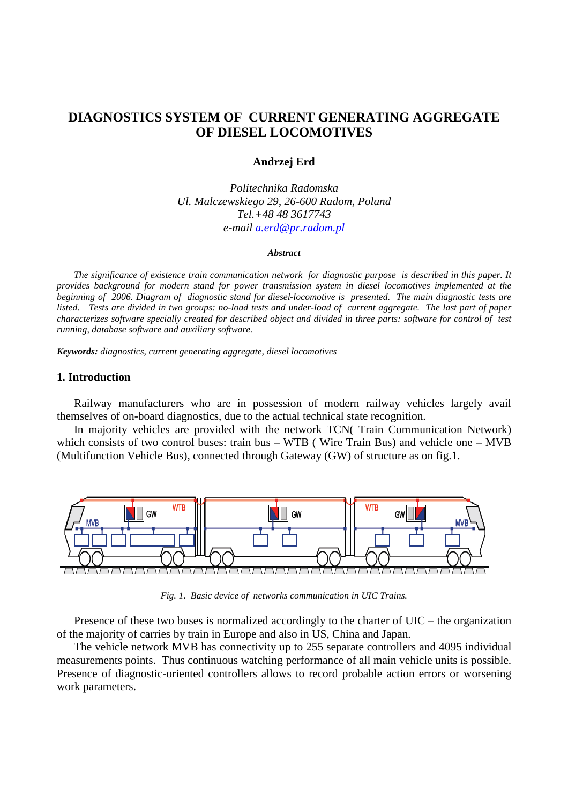# **DIAGNOSTICS SYSTEM OF CURRENT GENERATING AGGREGATE OF DIESEL LOCOMOTIVES**

# **Andrzej Erd**

*Politechnika Radomska Ul. Malczewskiego 29, 26-600 Radom, Poland Tel.+48 48 3617743 e-mail a.erd@pr.radom.pl*

#### *Abstract*

*The significance of existence train communication network for diagnostic purpose is described in this paper. It provides background for modern stand for power transmission system in diesel locomotives implemented at the beginning of 2006. Diagram of diagnostic stand for diesel-locomotive is presented. The main diagnostic tests are listed. Tests are divided in two groups: no-load tests and under-load of current aggregate. The last part of paper characterizes software specially created for described object and divided in three parts: software for control of test running, database software and auxiliary software.* 

*Keywords: diagnostics, current generating aggregate, diesel locomotives*

# **1. Introduction**

Railway manufacturers who are in possession of modern railway vehicles largely avail themselves of on-board diagnostics, due to the actual technical state recognition.

In majority vehicles are provided with the network TCN( Train Communication Network) which consists of two control buses: train bus – WTB (Wire Train Bus) and vehicle one – MVB (Multifunction Vehicle Bus), connected through Gateway (GW) of structure as on fig.1.



*Fig. 1. Basic device of networks communication in UIC Trains.* 

Presence of these two buses is normalized accordingly to the charter of UIC – the organization of the majority of carries by train in Europe and also in US, China and Japan.

The vehicle network MVB has connectivity up to 255 separate controllers and 4095 individual measurements points. Thus continuous watching performance of all main vehicle units is possible. Presence of diagnostic-oriented controllers allows to record probable action errors or worsening work parameters.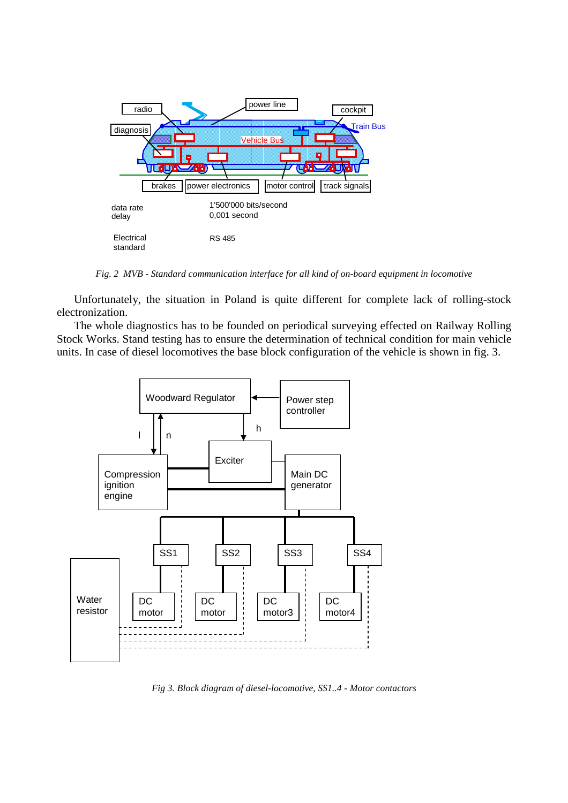

*Fig. 2 MVB - Standard communication interface for all kind of on-board equipment in locomotive* 

Unfortunately, the situation in Poland is quite different for complete lack of rolling-stock electronization.

The whole diagnostics has to be founded on periodical surveying effected on Railway Rolling Stock Works. Stand testing has to ensure the determination of technical condition for main vehicle units. In case of diesel locomotives the base block configuration of the vehicle is shown in fig. 3.



*Fig 3. Block diagram of diesel-locomotive, SS1..4 - Motor contactors*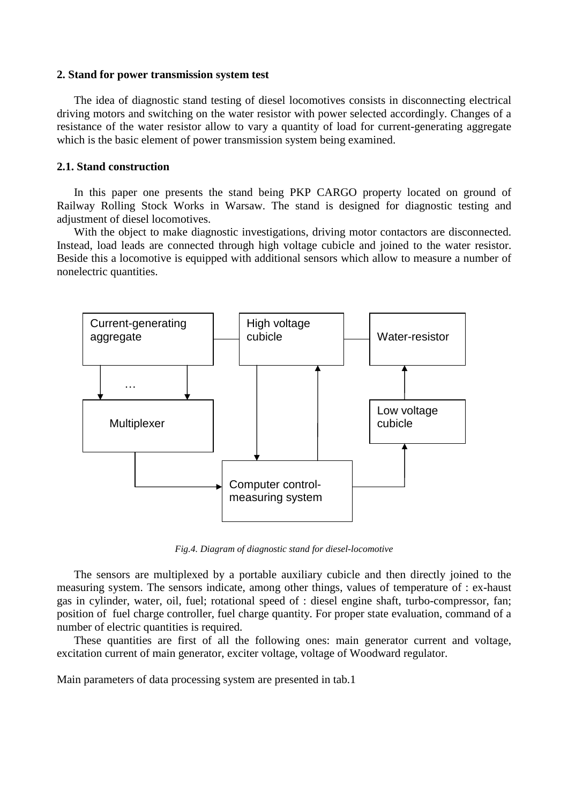### **2. Stand for power transmission system test**

The idea of diagnostic stand testing of diesel locomotives consists in disconnecting electrical driving motors and switching on the water resistor with power selected accordingly. Changes of a resistance of the water resistor allow to vary a quantity of load for current-generating aggregate which is the basic element of power transmission system being examined.

# **2.1. Stand construction**

In this paper one presents the stand being PKP CARGO property located on ground of Railway Rolling Stock Works in Warsaw. The stand is designed for diagnostic testing and adjustment of diesel locomotives.

With the object to make diagnostic investigations, driving motor contactors are disconnected. Instead, load leads are connected through high voltage cubicle and joined to the water resistor. Beside this a locomotive is equipped with additional sensors which allow to measure a number of nonelectric quantities.



*Fig.4. Diagram of diagnostic stand for diesel-locomotive* 

The sensors are multiplexed by a portable auxiliary cubicle and then directly joined to the measuring system. The sensors indicate, among other things, values of temperature of : ex-haust gas in cylinder, water, oil, fuel; rotational speed of : diesel engine shaft, turbo-compressor, fan; position of fuel charge controller, fuel charge quantity. For proper state evaluation, command of a number of electric quantities is required.

These quantities are first of all the following ones: main generator current and voltage, excitation current of main generator, exciter voltage, voltage of Woodward regulator.

Main parameters of data processing system are presented in tab.1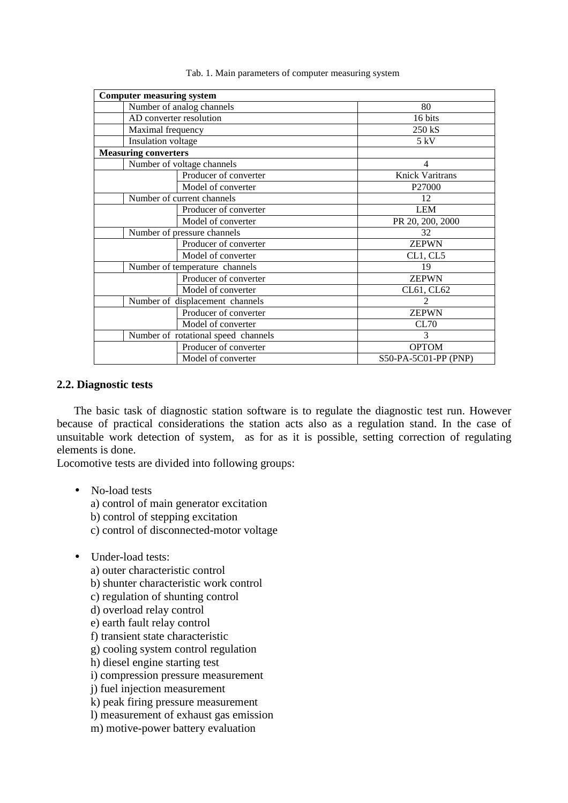| <b>Computer measuring system</b>    |                        |
|-------------------------------------|------------------------|
| Number of analog channels           | 80                     |
| AD converter resolution             | 16 bits                |
| Maximal frequency                   | 250 kS                 |
| Insulation voltage                  | 5 kV                   |
| <b>Measuring converters</b>         |                        |
| Number of voltage channels          | 4                      |
| Producer of converter               | <b>Knick Varitrans</b> |
| Model of converter                  | P <sub>27000</sub>     |
| Number of current channels          | 12                     |
| Producer of converter               | <b>LEM</b>             |
| Model of converter                  | PR 20, 200, 2000       |
| Number of pressure channels         | 32                     |
| Producer of converter               | <b>ZEPWN</b>           |
| Model of converter                  | CL1, CL5               |
| Number of temperature channels      | 19                     |
| Producer of converter               | <b>ZEPWN</b>           |
| Model of converter                  | CL61, CL62             |
| Number of displacement channels     | $\mathfrak{D}$         |
| Producer of converter               | <b>ZEPWN</b>           |
| Model of converter                  | CL70                   |
| Number of rotational speed channels | 3                      |
| Producer of converter               | <b>OPTOM</b>           |
| Model of converter                  | S50-PA-5C01-PP (PNP)   |

#### Tab. 1. Main parameters of computer measuring system

# **2.2. Diagnostic tests**

The basic task of diagnostic station software is to regulate the diagnostic test run. However because of practical considerations the station acts also as a regulation stand. In the case of unsuitable work detection of system, as for as it is possible, setting correction of regulating elements is done.

Locomotive tests are divided into following groups:

• No-load tests

a) control of main generator excitation

- b) control of stepping excitation
- c) control of disconnected-motor voltage
- Under-load tests:
	- a) outer characteristic control
	- b) shunter characteristic work control
	- c) regulation of shunting control
	- d) overload relay control
	- e) earth fault relay control
	- f) transient state characteristic
	- g) cooling system control regulation
	- h) diesel engine starting test
	- i) compression pressure measurement
	- j) fuel injection measurement
	- k) peak firing pressure measurement
	- l) measurement of exhaust gas emission
	- m) motive-power battery evaluation